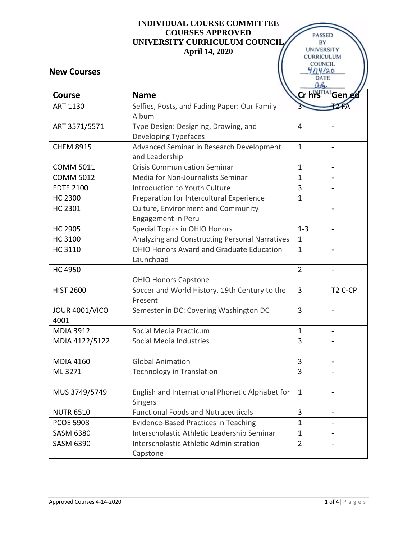#### **INDIVIDUAL COURSE COMMITTEE COURSES APPROVED UNIVERSITY CURRICULUM COUNCIL April 14, 2020**

**PASSED** BY **UNIVERSITY** CURRICULUM COUNCIL  $4114/20$ 

#### **New Courses**

|                       |                                                 | DAIL           |                          |
|-----------------------|-------------------------------------------------|----------------|--------------------------|
| <b>Course</b>         | <b>Name</b>                                     | Cr hrs         | Gened                    |
| ART 1130              | Selfies, Posts, and Fading Paper: Our Family    |                |                          |
|                       | Album                                           |                |                          |
| ART 3571/5571         | Type Design: Designing, Drawing, and            | 4              | $\qquad \qquad$          |
|                       | <b>Developing Typefaces</b>                     |                |                          |
| <b>CHEM 8915</b>      | Advanced Seminar in Research Development        | $\mathbf{1}$   | $\overline{\phantom{a}}$ |
|                       | and Leadership                                  |                |                          |
| <b>COMM 5011</b>      | <b>Crisis Communication Seminar</b>             | $\mathbf{1}$   | $\overline{a}$           |
| <b>COMM 5012</b>      | Media for Non-Journalists Seminar               | $\mathbf{1}$   | $\overline{\phantom{a}}$ |
| <b>EDTE 2100</b>      | Introduction to Youth Culture                   | 3              | $\overline{\phantom{a}}$ |
| <b>HC 2300</b>        | Preparation for Intercultural Experience        | $\mathbf{1}$   |                          |
| <b>HC 2301</b>        | <b>Culture, Environment and Community</b>       |                | $\overline{\phantom{a}}$ |
|                       | <b>Engagement in Peru</b>                       |                |                          |
| <b>HC 2905</b>        | Special Topics in OHIO Honors                   | $1 - 3$        | $\blacksquare$           |
| <b>HC 3100</b>        | Analyzing and Constructing Personal Narratives  | $\mathbf{1}$   |                          |
| HC 3110               | <b>OHIO Honors Award and Graduate Education</b> | $\mathbf{1}$   | $\overline{\phantom{a}}$ |
|                       | Launchpad                                       |                |                          |
| <b>HC 4950</b>        |                                                 | $\overline{2}$ | $\overline{\phantom{a}}$ |
|                       | <b>OHIO Honors Capstone</b>                     |                |                          |
| <b>HIST 2600</b>      | Soccer and World History, 19th Century to the   | $\overline{3}$ | T <sub>2</sub> C-CP      |
|                       | Present                                         |                |                          |
| <b>JOUR 4001/VICO</b> | Semester in DC: Covering Washington DC          | 3              | $\qquad \qquad$          |
| 4001                  |                                                 |                |                          |
| <b>MDIA 3912</b>      | Social Media Practicum                          | $\mathbf{1}$   | $\blacksquare$           |
| MDIA 4122/5122        | Social Media Industries                         | 3              | $\overline{\phantom{a}}$ |
|                       |                                                 |                |                          |
| <b>MDIA 4160</b>      | <b>Global Animation</b>                         | 3              | $\qquad \qquad$          |
| ML 3271               | Technology in Translation                       | 3              |                          |
| MUS 3749/5749         | English and International Phonetic Alphabet for | $\mathbf{1}$   |                          |
|                       | Singers                                         |                |                          |
| <b>NUTR 6510</b>      | <b>Functional Foods and Nutraceuticals</b>      | 3              | $\blacksquare$           |
| <b>PCOE 5908</b>      | <b>Evidence-Based Practices in Teaching</b>     | $\mathbf{1}$   |                          |
| <b>SASM 6380</b>      | Interscholastic Athletic Leadership Seminar     | $\mathbf{1}$   |                          |
| <b>SASM 6390</b>      | Interscholastic Athletic Administration         | $\overline{2}$ | $\overline{\phantom{0}}$ |
|                       | Capstone                                        |                |                          |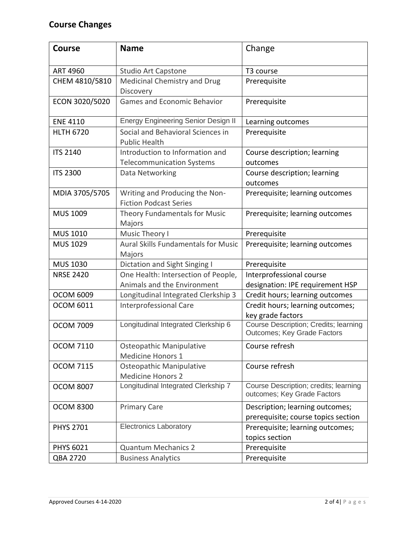## **Course Changes**

| <b>Course</b>    | <b>Name</b>                                                         | Change                                                                 |
|------------------|---------------------------------------------------------------------|------------------------------------------------------------------------|
| <b>ART 4960</b>  | <b>Studio Art Capstone</b>                                          | T3 course                                                              |
| CHEM 4810/5810   | Medicinal Chemistry and Drug<br>Discovery                           | Prerequisite                                                           |
| ECON 3020/5020   | <b>Games and Economic Behavior</b>                                  | Prerequisite                                                           |
| <b>ENE 4110</b>  | <b>Energy Engineering Senior Design II</b>                          | Learning outcomes                                                      |
| <b>HLTH 6720</b> | Social and Behavioral Sciences in<br><b>Public Health</b>           | Prerequisite                                                           |
| <b>ITS 2140</b>  | Introduction to Information and<br><b>Telecommunication Systems</b> | Course description; learning<br>outcomes                               |
| <b>ITS 2300</b>  | Data Networking                                                     | Course description; learning<br>outcomes                               |
| MDIA 3705/5705   | Writing and Producing the Non-<br><b>Fiction Podcast Series</b>     | Prerequisite; learning outcomes                                        |
| MUS 1009         | Theory Fundamentals for Music<br>Majors                             | Prerequisite; learning outcomes                                        |
| MUS 1010         | Music Theory I                                                      | Prerequisite                                                           |
| MUS 1029         | <b>Aural Skills Fundamentals for Music</b><br>Majors                | Prerequisite; learning outcomes                                        |
| <b>MUS 1030</b>  | Dictation and Sight Singing I                                       | Prerequisite                                                           |
| <b>NRSE 2420</b> | One Health: Intersection of People,                                 | Interprofessional course                                               |
|                  | Animals and the Environment                                         | designation: IPE requirement HSP                                       |
| <b>OCOM 6009</b> | Longitudinal Integrated Clerkship 3                                 | Credit hours; learning outcomes                                        |
| <b>OCOM 6011</b> | Interprofessional Care                                              | Credit hours; learning outcomes;<br>key grade factors                  |
| <b>OCOM 7009</b> | Longitudinal Integrated Clerkship 6                                 | Course Description; Credits; learning<br>Outcomes; Key Grade Factors   |
| <b>OCOM 7110</b> | Osteopathic Manipulative<br><b>Medicine Honors 1</b>                | Course refresh                                                         |
| <b>OCOM 7115</b> | Osteopathic Manipulative<br><b>Medicine Honors 2</b>                | Course refresh                                                         |
| <b>OCOM 8007</b> | Longitudinal Integrated Clerkship 7                                 | Course Description; credits; learning<br>outcomes; Key Grade Factors   |
| <b>OCOM 8300</b> | <b>Primary Care</b>                                                 | Description; learning outcomes;<br>prerequisite; course topics section |
| <b>PHYS 2701</b> | <b>Electronics Laboratory</b>                                       | Prerequisite; learning outcomes;<br>topics section                     |
| <b>PHYS 6021</b> | <b>Quantum Mechanics 2</b>                                          | Prerequisite                                                           |
| QBA 2720         | <b>Business Analytics</b>                                           | Prerequisite                                                           |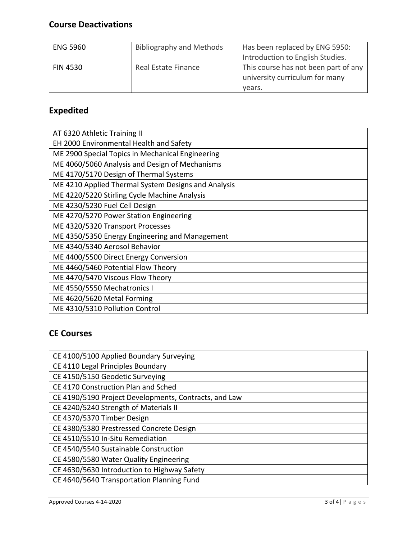### **Course Deactivations**

| <b>ENG 5960</b> | <b>Bibliography and Methods</b> | Has been replaced by ENG 5950:<br>Introduction to English Studies.               |
|-----------------|---------------------------------|----------------------------------------------------------------------------------|
| <b>FIN 4530</b> | Real Estate Finance             | This course has not been part of any<br>university curriculum for many<br>vears. |

# **Expedited**

| AT 6320 Athletic Training II                        |
|-----------------------------------------------------|
| EH 2000 Environmental Health and Safety             |
| ME 2900 Special Topics in Mechanical Engineering    |
| ME 4060/5060 Analysis and Design of Mechanisms      |
| ME 4170/5170 Design of Thermal Systems              |
| ME 4210 Applied Thermal System Designs and Analysis |
| ME 4220/5220 Stirling Cycle Machine Analysis        |
| ME 4230/5230 Fuel Cell Design                       |
| ME 4270/5270 Power Station Engineering              |
| ME 4320/5320 Transport Processes                    |
| ME 4350/5350 Energy Engineering and Management      |
| ME 4340/5340 Aerosol Behavior                       |
| ME 4400/5500 Direct Energy Conversion               |
| ME 4460/5460 Potential Flow Theory                  |
| ME 4470/5470 Viscous Flow Theory                    |
| ME 4550/5550 Mechatronics I                         |
| ME 4620/5620 Metal Forming                          |
| ME 4310/5310 Pollution Control                      |

## **CE Courses**

| CE 4100/5100 Applied Boundary Surveying               |
|-------------------------------------------------------|
| CE 4110 Legal Principles Boundary                     |
| CE 4150/5150 Geodetic Surveying                       |
| CE 4170 Construction Plan and Sched                   |
| CE 4190/5190 Project Developments, Contracts, and Law |
| CE 4240/5240 Strength of Materials II                 |
| CE 4370/5370 Timber Design                            |
| CE 4380/5380 Prestressed Concrete Design              |
| CE 4510/5510 In-Situ Remediation                      |
| CE 4540/5540 Sustainable Construction                 |
| CE 4580/5580 Water Quality Engineering                |
| CE 4630/5630 Introduction to Highway Safety           |
| CE 4640/5640 Transportation Planning Fund             |